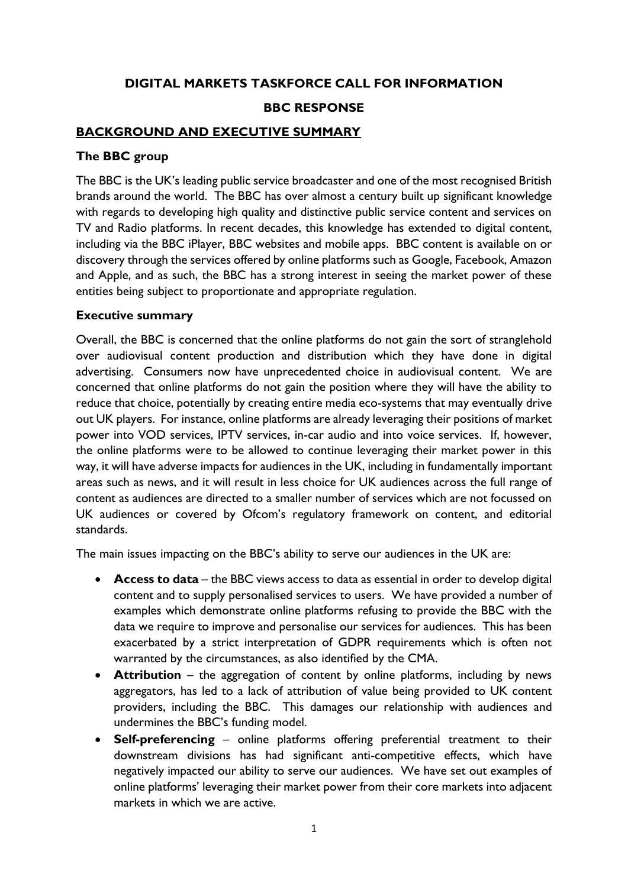# **DIGITAL MARKETS TASKFORCE CALL FOR INFORMATION BBC RESPONSE**

## **BACKGROUND AND EXECUTIVE SUMMARY**

## **The BBC group**

The BBC is the UK's leading public service broadcaster and one of the most recognised British brands around the world. The BBC has over almost a century built up significant knowledge with regards to developing high quality and distinctive public service content and services on TV and Radio platforms. In recent decades, this knowledge has extended to digital content, including via the BBC iPlayer, BBC websites and mobile apps. BBC content is available on or discovery through the services offered by online platforms such as Google, Facebook, Amazon and Apple, and as such, the BBC has a strong interest in seeing the market power of these entities being subject to proportionate and appropriate regulation.

### **Executive summary**

Overall, the BBC is concerned that the online platforms do not gain the sort of stranglehold over audiovisual content production and distribution which they have done in digital advertising. Consumers now have unprecedented choice in audiovisual content. We are concerned that online platforms do not gain the position where they will have the ability to reduce that choice, potentially by creating entire media eco-systems that may eventually drive out UK players. For instance, online platforms are already leveraging their positions of market power into VOD services, IPTV services, in-car audio and into voice services. If, however, the online platforms were to be allowed to continue leveraging their market power in this way, it will have adverse impacts for audiences in the UK, including in fundamentally important areas such as news, and it will result in less choice for UK audiences across the full range of content as audiences are directed to a smaller number of services which are not focussed on UK audiences or covered by Ofcom's regulatory framework on content, and editorial standards.

The main issues impacting on the BBC's ability to serve our audiences in the UK are:

- **Access to data**  the BBC views access to data as essential in order to develop digital content and to supply personalised services to users. We have provided a number of examples which demonstrate online platforms refusing to provide the BBC with the data we require to improve and personalise our services for audiences. This has been exacerbated by a strict interpretation of GDPR requirements which is often not warranted by the circumstances, as also identified by the CMA.
- **Attribution** the aggregation of content by online platforms, including by news aggregators, has led to a lack of attribution of value being provided to UK content providers, including the BBC. This damages our relationship with audiences and undermines the BBC's funding model.
- **Self-preferencing** online platforms offering preferential treatment to their downstream divisions has had significant anti-competitive effects, which have negatively impacted our ability to serve our audiences. We have set out examples of online platforms' leveraging their market power from their core markets into adjacent markets in which we are active.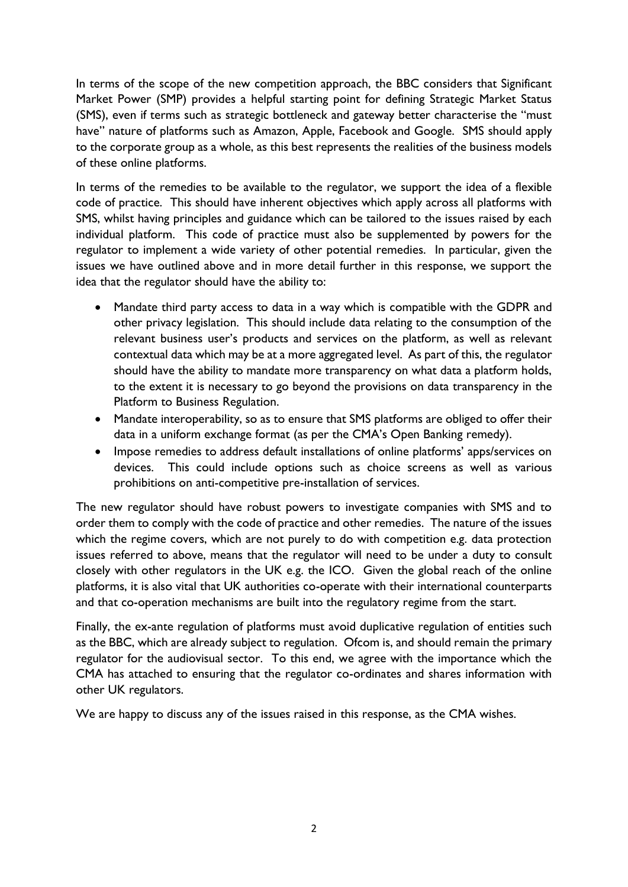In terms of the scope of the new competition approach, the BBC considers that Significant Market Power (SMP) provides a helpful starting point for defining Strategic Market Status (SMS), even if terms such as strategic bottleneck and gateway better characterise the "must have" nature of platforms such as Amazon, Apple, Facebook and Google.SMS should apply to the corporate group as a whole, as this best represents the realities of the business models of these online platforms.

In terms of the remedies to be available to the regulator, we support the idea of a flexible code of practice. This should have inherent objectives which apply across all platforms with SMS, whilst having principles and guidance which can be tailored to the issues raised by each individual platform. This code of practice must also be supplemented by powers for the regulator to implement a wide variety of other potential remedies. In particular, given the issues we have outlined above and in more detail further in this response, we support the idea that the regulator should have the ability to:

- Mandate third party access to data in a way which is compatible with the GDPR and other privacy legislation. This should include data relating to the consumption of the relevant business user's products and services on the platform, as well as relevant contextual data which may be at a more aggregated level. As part of this, the regulator should have the ability to mandate more transparency on what data a platform holds, to the extent it is necessary to go beyond the provisions on data transparency in the Platform to Business Regulation.
- Mandate interoperability, so as to ensure that SMS platforms are obliged to offer their data in a uniform exchange format (as per the CMA's Open Banking remedy).
- Impose remedies to address default installations of online platforms' apps/services on devices. This could include options such as choice screens as well as various prohibitions on anti-competitive pre-installation of services.

The new regulator should have robust powers to investigate companies with SMS and to order them to comply with the code of practice and other remedies. The nature of the issues which the regime covers, which are not purely to do with competition e.g. data protection issues referred to above, means that the regulator will need to be under a duty to consult closely with other regulators in the UK e.g. the ICO. Given the global reach of the online platforms, it is also vital that UK authorities co-operate with their international counterparts and that co-operation mechanisms are built into the regulatory regime from the start.

Finally, the ex-ante regulation of platforms must avoid duplicative regulation of entities such as the BBC, which are already subject to regulation. Ofcom is, and should remain the primary regulator for the audiovisual sector. To this end, we agree with the importance which the CMA has attached to ensuring that the regulator co-ordinates and shares information with other UK regulators.

We are happy to discuss any of the issues raised in this response, as the CMA wishes.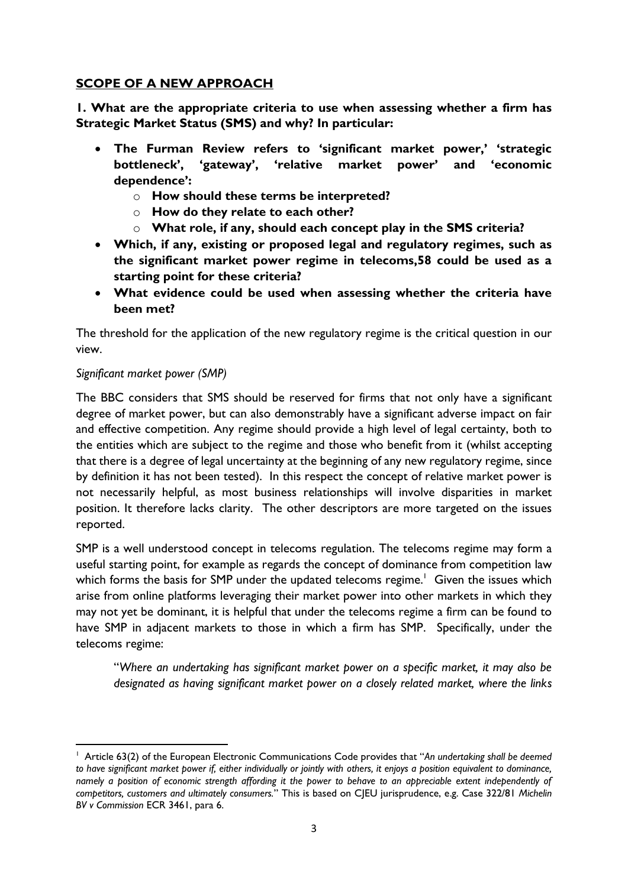# **SCOPE OF A NEW APPROACH**

**1. What are the appropriate criteria to use when assessing whether a firm has Strategic Market Status (SMS) and why? In particular:** 

- **The Furman Review refers to 'significant market power,' 'strategic bottleneck', 'gateway', 'relative market power' and 'economic dependence':**
	- o **How should these terms be interpreted?**
	- o **How do they relate to each other?**
	- o **What role, if any, should each concept play in the SMS criteria?**
- **Which, if any, existing or proposed legal and regulatory regimes, such as the significant market power regime in telecoms,58 could be used as a starting point for these criteria?**
- **What evidence could be used when assessing whether the criteria have been met?**

The threshold for the application of the new regulatory regime is the critical question in our view.

## *Significant market power (SMP)*

The BBC considers that SMS should be reserved for firms that not only have a significant degree of market power, but can also demonstrably have a significant adverse impact on fair and effective competition. Any regime should provide a high level of legal certainty, both to the entities which are subject to the regime and those who benefit from it (whilst accepting that there is a degree of legal uncertainty at the beginning of any new regulatory regime, since by definition it has not been tested). In this respect the concept of relative market power is not necessarily helpful, as most business relationships will involve disparities in market position. It therefore lacks clarity. The other descriptors are more targeted on the issues reported.

SMP is a well understood concept in telecoms regulation. The telecoms regime may form a useful starting point, for example as regards the concept of dominance from competition law which forms the basis for SMP under the updated telecoms regime.<sup>1</sup> Given the issues which arise from online platforms leveraging their market power into other markets in which they may not yet be dominant, it is helpful that under the telecoms regime a firm can be found to have SMP in adjacent markets to those in which a firm has SMP. Specifically, under the telecoms regime:

"*Where an undertaking has significant market power on a specific market, it may also be designated as having significant market power on a closely related market, where the links* 

**<sup>.</sup>** <sup>1</sup> Article 63(2) of the European Electronic Communications Code provides that "An undertaking shall be deemed *to have significant market power if, either individually or jointly with others, it enjoys a position equivalent to dominance, namely a position of economic strength affording it the power to behave to an appreciable extent independently of competitors, customers and ultimately consumers.*" This is based on CJEU jurisprudence, e.g. Case 322/81 *Michelin BV v Commission* ECR 3461, para 6.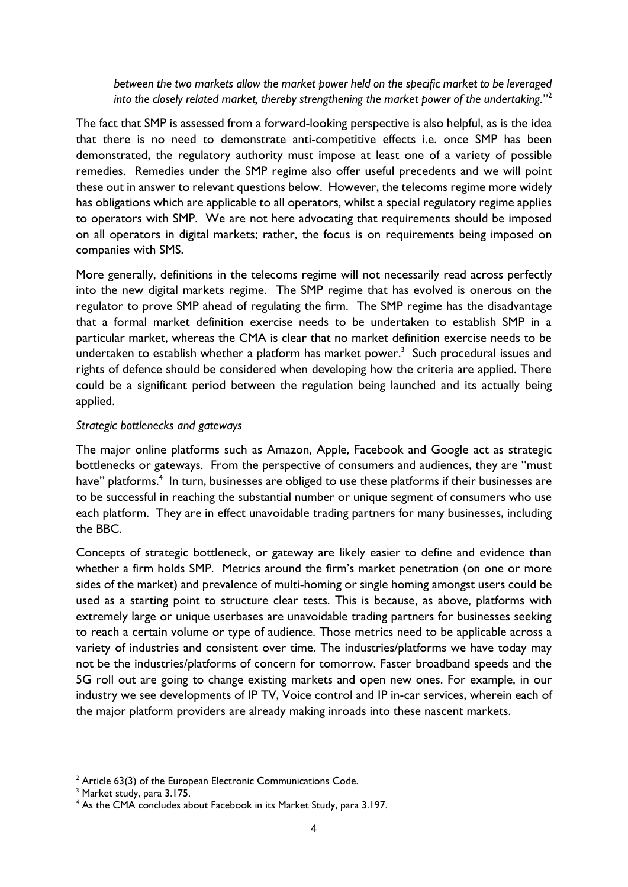*between the two markets allow the market power held on the specific market to be leveraged into the closely related market, thereby strengthening the market power of the undertaking.*" 2

The fact that SMP is assessed from a forward-looking perspective is also helpful, as is the idea that there is no need to demonstrate anti-competitive effects i.e. once SMP has been demonstrated, the regulatory authority must impose at least one of a variety of possible remedies. Remedies under the SMP regime also offer useful precedents and we will point these out in answer to relevant questions below. However, the telecoms regime more widely has obligations which are applicable to all operators, whilst a special regulatory regime applies to operators with SMP. We are not here advocating that requirements should be imposed on all operators in digital markets; rather, the focus is on requirements being imposed on companies with SMS.

More generally, definitions in the telecoms regime will not necessarily read across perfectly into the new digital markets regime. The SMP regime that has evolved is onerous on the regulator to prove SMP ahead of regulating the firm. The SMP regime has the disadvantage that a formal market definition exercise needs to be undertaken to establish SMP in a particular market, whereas the CMA is clear that no market definition exercise needs to be undertaken to establish whether a platform has market power.<sup>3</sup> Such procedural issues and rights of defence should be considered when developing how the criteria are applied. There could be a significant period between the regulation being launched and its actually being applied.

#### *Strategic bottlenecks and gateways*

The major online platforms such as Amazon, Apple, Facebook and Google act as strategic bottlenecks or gateways. From the perspective of consumers and audiences, they are "must have" platforms.<sup>4</sup> In turn, businesses are obliged to use these platforms if their businesses are to be successful in reaching the substantial number or unique segment of consumers who use each platform. They are in effect unavoidable trading partners for many businesses, including the BBC.

Concepts of strategic bottleneck, or gateway are likely easier to define and evidence than whether a firm holds SMP. Metrics around the firm's market penetration (on one or more sides of the market) and prevalence of multi-homing or single homing amongst users could be used as a starting point to structure clear tests. This is because, as above, platforms with extremely large or unique userbases are unavoidable trading partners for businesses seeking to reach a certain volume or type of audience. Those metrics need to be applicable across a variety of industries and consistent over time. The industries/platforms we have today may not be the industries/platforms of concern for tomorrow. Faster broadband speeds and the 5G roll out are going to change existing markets and open new ones. For example, in our industry we see developments of IP TV, Voice control and IP in-car services, wherein each of the major platform providers are already making inroads into these nascent markets.

 $2$  Article 63(3) of the European Electronic Communications Code.

<sup>&</sup>lt;sup>3</sup> Market study, para 3.175.

<sup>4</sup> As the CMA concludes about Facebook in its Market Study, para 3.197.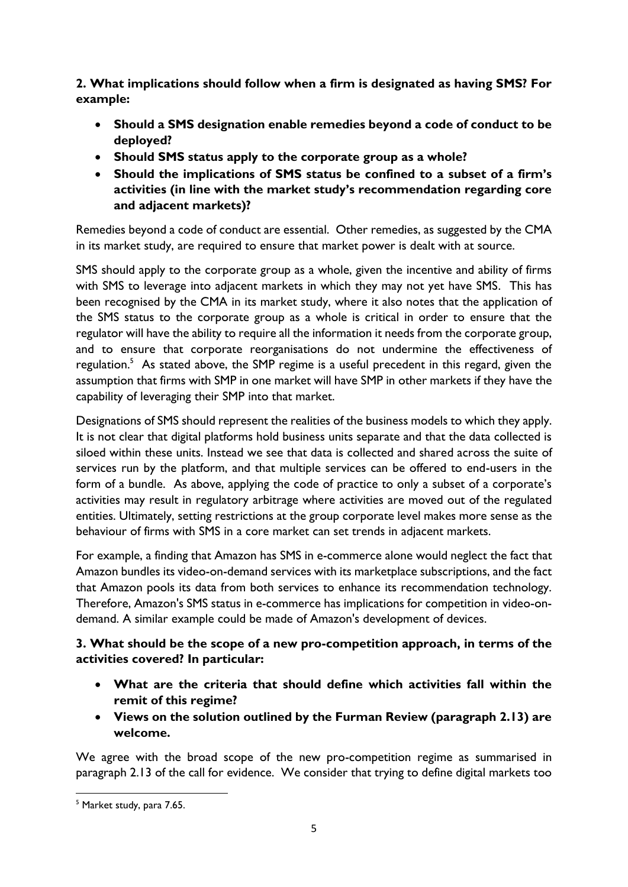**2. What implications should follow when a firm is designated as having SMS? For example:** 

- **Should a SMS designation enable remedies beyond a code of conduct to be deployed?**
- **Should SMS status apply to the corporate group as a whole?**
- **Should the implications of SMS status be confined to a subset of a firm's activities (in line with the market study's recommendation regarding core and adjacent markets)?**

Remedies beyond a code of conduct are essential. Other remedies, as suggested by the CMA in its market study, are required to ensure that market power is dealt with at source.

SMS should apply to the corporate group as a whole, given the incentive and ability of firms with SMS to leverage into adjacent markets in which they may not yet have SMS. This has been recognised by the CMA in its market study, where it also notes that the application of the SMS status to the corporate group as a whole is critical in order to ensure that the regulator will have the ability to require all the information it needs from the corporate group, and to ensure that corporate reorganisations do not undermine the effectiveness of regulation.<sup>5</sup> As stated above, the SMP regime is a useful precedent in this regard, given the assumption that firms with SMP in one market will have SMP in other markets if they have the capability of leveraging their SMP into that market.

Designations of SMS should represent the realities of the business models to which they apply. It is not clear that digital platforms hold business units separate and that the data collected is siloed within these units. Instead we see that data is collected and shared across the suite of services run by the platform, and that multiple services can be offered to end-users in the form of a bundle. As above, applying the code of practice to only a subset of a corporate's activities may result in regulatory arbitrage where activities are moved out of the regulated entities. Ultimately, setting restrictions at the group corporate level makes more sense as the behaviour of firms with SMS in a core market can set trends in adjacent markets.

For example, a finding that Amazon has SMS in e-commerce alone would neglect the fact that Amazon bundles its video-on-demand services with its marketplace subscriptions, and the fact that Amazon pools its data from both services to enhance its recommendation technology. Therefore, Amazon's SMS status in e-commerce has implications for competition in video-ondemand. A similar example could be made of Amazon's development of devices.

# **3. What should be the scope of a new pro-competition approach, in terms of the activities covered? In particular:**

- **What are the criteria that should define which activities fall within the remit of this regime?**
- **Views on the solution outlined by the Furman Review (paragraph 2.13) are welcome.**

We agree with the broad scope of the new pro-competition regime as summarised in paragraph 2.13 of the call for evidence. We consider that trying to define digital markets too

**<sup>.</sup>** <sup>5</sup> Market study, para 7.65.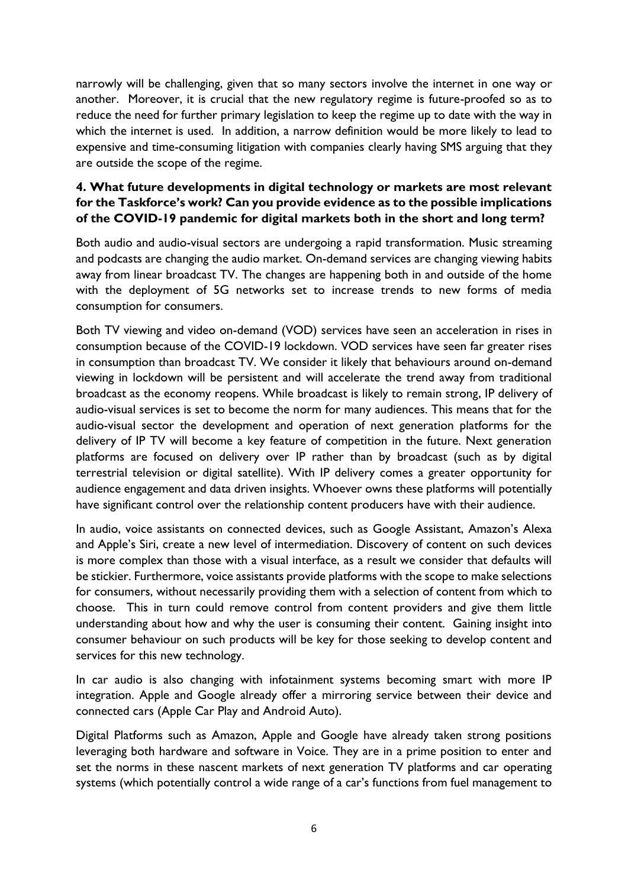narrowly will be challenging, given that so many sectors involve the internet in one way or another. Moreover, it is crucial that the new regulatory regime is future-proofed so as to reduce the need for further primary legislation to keep the regime up to date with the way in which the internet is used. In addition, a narrow definition would be more likely to lead to expensive and time-consuming litigation with companies clearly having SMS arguing that they are outside the scope of the regime.

# **4. What future developments in digital technology or markets are most relevant for the Taskforce's work? Can you provide evidence as to the possible implications of the COVID-19 pandemic for digital markets both in the short and long term?**

Both audio and audio-visual sectors are undergoing a rapid transformation. Music streaming and podcasts are changing the audio market. On-demand services are changing viewing habits away from linear broadcast TV. The changes are happening both in and outside of the home with the deployment of 5G networks set to increase trends to new forms of media consumption for consumers.

Both TV viewing and video on-demand (VOD) services have seen an acceleration in rises in consumption because of the COVID-19 lockdown. VOD services have seen far greater rises in consumption than broadcast TV. We consider it likely that behaviours around on-demand viewing in lockdown will be persistent and will accelerate the trend away from traditional broadcast as the economy reopens. While broadcast is likely to remain strong, IP delivery of audio-visual services is set to become the norm for many audiences. This means that for the audio-visual sector the development and operation of next generation platforms for the delivery of IP TV will become a key feature of competition in the future. Next generation platforms are focused on delivery over IP rather than by broadcast (such as by digital terrestrial television or digital satellite). With IP delivery comes a greater opportunity for audience engagement and data driven insights. Whoever owns these platforms will potentially have significant control over the relationship content producers have with their audience.

In audio, voice assistants on connected devices, such as Google Assistant, Amazon's Alexa and Apple's Siri, create a new level of intermediation. Discovery of content on such devices is more complex than those with a visual interface, as a result we consider that defaults will be stickier. Furthermore, voice assistants provide platforms with the scope to make selections for consumers, without necessarily providing them with a selection of content from which to choose. This in turn could remove control from content providers and give them little understanding about how and why the user is consuming their content. Gaining insight into consumer behaviour on such products will be key for those seeking to develop content and services for this new technology.

In car audio is also changing with infotainment systems becoming smart with more IP integration. Apple and Google already offer a mirroring service between their device and connected cars (Apple Car Play and Android Auto).

Digital Platforms such as Amazon, Apple and Google have already taken strong positions leveraging both hardware and software in Voice. They are in a prime position to enter and set the norms in these nascent markets of next generation TV platforms and car operating systems (which potentially control a wide range of a car's functions from fuel management to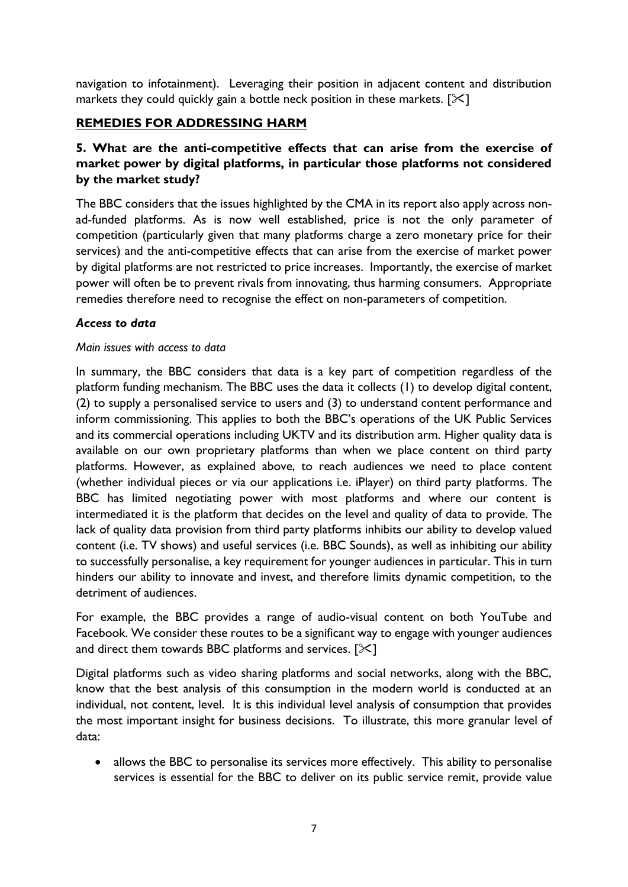navigation to infotainment). Leveraging their position in adjacent content and distribution markets they could quickly gain a bottle neck position in these markets.  $[\mathcal{K}]$ 

# **REMEDIES FOR ADDRESSING HARM**

## **5. What are the anti-competitive effects that can arise from the exercise of market power by digital platforms, in particular those platforms not considered by the market study?**

The BBC considers that the issues highlighted by the CMA in its report also apply across nonad-funded platforms. As is now well established, price is not the only parameter of competition (particularly given that many platforms charge a zero monetary price for their services) and the anti-competitive effects that can arise from the exercise of market power by digital platforms are not restricted to price increases. Importantly, the exercise of market power will often be to prevent rivals from innovating, thus harming consumers. Appropriate remedies therefore need to recognise the effect on non-parameters of competition.

### *Access to data*

#### *Main issues with access to data*

In summary, the BBC considers that data is a key part of competition regardless of the platform funding mechanism. The BBC uses the data it collects (1) to develop digital content, (2) to supply a personalised service to users and (3) to understand content performance and inform commissioning. This applies to both the BBC's operations of the UK Public Services and its commercial operations including UKTV and its distribution arm. Higher quality data is available on our own proprietary platforms than when we place content on third party platforms. However, as explained above, to reach audiences we need to place content (whether individual pieces or via our applications i.e. iPlayer) on third party platforms. The BBC has limited negotiating power with most platforms and where our content is intermediated it is the platform that decides on the level and quality of data to provide. The lack of quality data provision from third party platforms inhibits our ability to develop valued content (i.e. TV shows) and useful services (i.e. BBC Sounds), as well as inhibiting our ability to successfully personalise, a key requirement for younger audiences in particular. This in turn hinders our ability to innovate and invest, and therefore limits dynamic competition, to the detriment of audiences.

For example, the BBC provides a range of audio-visual content on both YouTube and Facebook. We consider these routes to be a significant way to engage with younger audiences and direct them towards BBC platforms and services.  $[\times]$ 

Digital platforms such as video sharing platforms and social networks, along with the BBC, know that the best analysis of this consumption in the modern world is conducted at an individual, not content, level. It is this individual level analysis of consumption that provides the most important insight for business decisions. To illustrate, this more granular level of data:

• allows the BBC to personalise its services more effectively. This ability to personalise services is essential for the BBC to deliver on its public service remit, provide value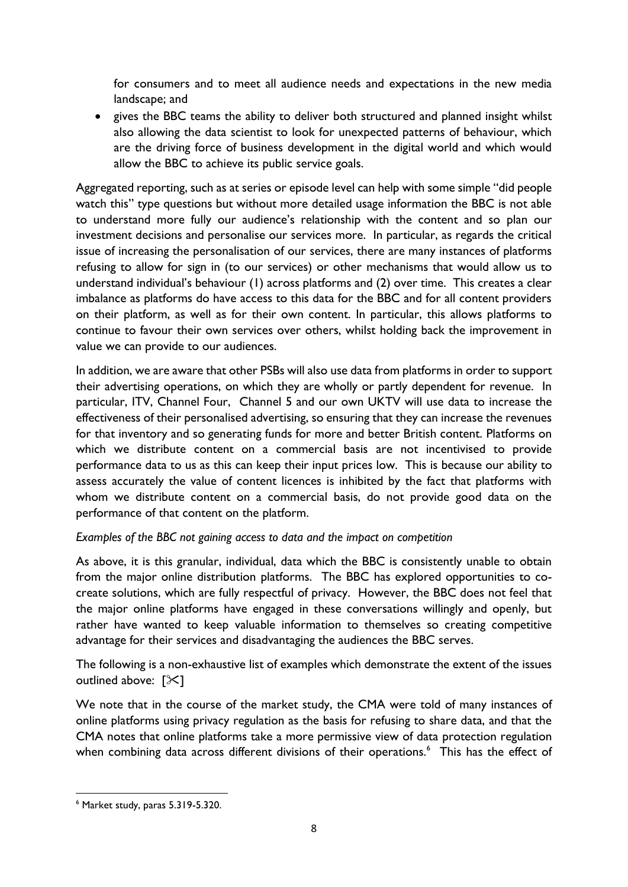for consumers and to meet all audience needs and expectations in the new media landscape; and

• gives the BBC teams the ability to deliver both structured and planned insight whilst also allowing the data scientist to look for unexpected patterns of behaviour, which are the driving force of business development in the digital world and which would allow the BBC to achieve its public service goals.

Aggregated reporting, such as at series or episode level can help with some simple "did people watch this" type questions but without more detailed usage information the BBC is not able to understand more fully our audience's relationship with the content and so plan our investment decisions and personalise our services more. In particular, as regards the critical issue of increasing the personalisation of our services, there are many instances of platforms refusing to allow for sign in (to our services) or other mechanisms that would allow us to understand individual's behaviour (1) across platforms and (2) over time. This creates a clear imbalance as platforms do have access to this data for the BBC and for all content providers on their platform, as well as for their own content. In particular, this allows platforms to continue to favour their own services over others, whilst holding back the improvement in value we can provide to our audiences.

In addition, we are aware that other PSBs will also use data from platforms in order to support their advertising operations, on which they are wholly or partly dependent for revenue. In particular, ITV, Channel Four, Channel 5 and our own UKTV will use data to increase the effectiveness of their personalised advertising, so ensuring that they can increase the revenues for that inventory and so generating funds for more and better British content. Platforms on which we distribute content on a commercial basis are not incentivised to provide performance data to us as this can keep their input prices low. This is because our ability to assess accurately the value of content licences is inhibited by the fact that platforms with whom we distribute content on a commercial basis, do not provide good data on the performance of that content on the platform.

### *Examples of the BBC not gaining access to data and the impact on competition*

As above, it is this granular, individual, data which the BBC is consistently unable to obtain from the major online distribution platforms. The BBC has explored opportunities to cocreate solutions, which are fully respectful of privacy. However, the BBC does not feel that the major online platforms have engaged in these conversations willingly and openly, but rather have wanted to keep valuable information to themselves so creating competitive advantage for their services and disadvantaging the audiences the BBC serves.

The following is a non-exhaustive list of examples which demonstrate the extent of the issues outlined above:  $[\mathcal{X}]$ 

We note that in the course of the market study, the CMA were told of many instances of online platforms using privacy regulation as the basis for refusing to share data, and that the CMA notes that online platforms take a more permissive view of data protection regulation when combining data across different divisions of their operations.<sup>6</sup> This has the effect of

**<sup>.</sup>** <sup>6</sup> Market study, paras 5.319-5.320.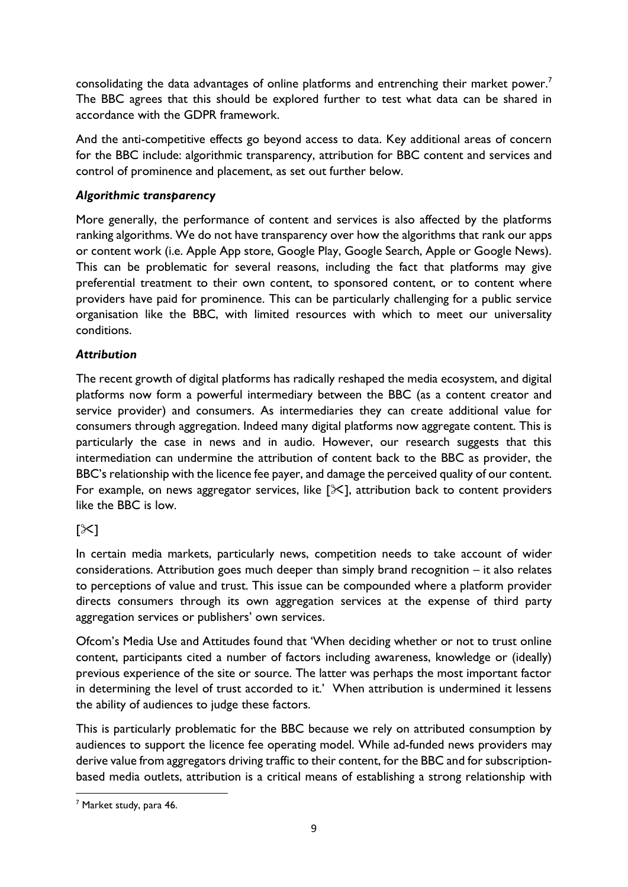consolidating the data advantages of online platforms and entrenching their market power.<sup>7</sup> The BBC agrees that this should be explored further to test what data can be shared in accordance with the GDPR framework.

And the anti-competitive effects go beyond access to data. Key additional areas of concern for the BBC include: algorithmic transparency, attribution for BBC content and services and control of prominence and placement, as set out further below.

# *Algorithmic transparency*

More generally, the performance of content and services is also affected by the platforms ranking algorithms. We do not have transparency over how the algorithms that rank our apps or content work (i.e. Apple App store, Google Play, Google Search, Apple or Google News). This can be problematic for several reasons, including the fact that platforms may give preferential treatment to their own content, to sponsored content, or to content where providers have paid for prominence. This can be particularly challenging for a public service organisation like the BBC, with limited resources with which to meet our universality conditions.

# *Attribution*

The recent growth of digital platforms has radically reshaped the media ecosystem, and digital platforms now form a powerful intermediary between the BBC (as a content creator and service provider) and consumers. As intermediaries they can create additional value for consumers through aggregation. Indeed many digital platforms now aggregate content. This is particularly the case in news and in audio. However, our research suggests that this intermediation can undermine the attribution of content back to the BBC as provider, the BBC's relationship with the licence fee payer, and damage the perceived quality of our content. For example, on news aggregator services, like  $[\times]$ , attribution back to content providers like the BBC is low.

# $\sim$ ]

In certain media markets, particularly news, competition needs to take account of wider considerations. Attribution goes much deeper than simply brand recognition – it also relates to perceptions of value and trust. This issue can be compounded where a platform provider directs consumers through its own aggregation services at the expense of third party aggregation services or publishers' own services.

Ofcom's Media Use and Attitudes found that 'When deciding whether or not to trust online content, participants cited a number of factors including awareness, knowledge or (ideally) previous experience of the site or source. The latter was perhaps the most important factor in determining the level of trust accorded to it.' When attribution is undermined it lessens the ability of audiences to judge these factors.

This is particularly problematic for the BBC because we rely on attributed consumption by audiences to support the licence fee operating model. While ad-funded news providers may derive value from aggregators driving traffic to their content, for the BBC and for subscriptionbased media outlets, attribution is a critical means of establishing a strong relationship with

<sup>7</sup> Market study, para 46.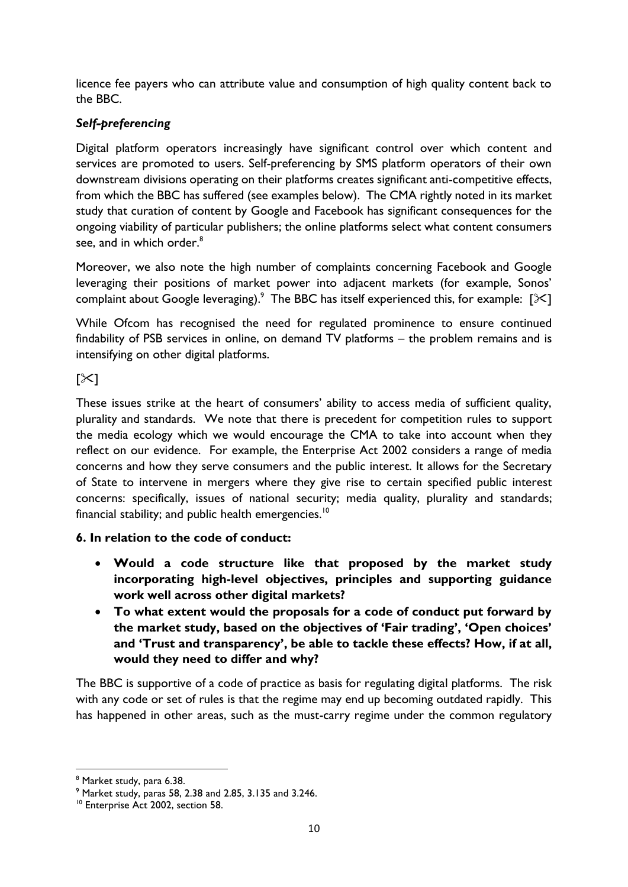licence fee payers who can attribute value and consumption of high quality content back to the BBC.

# *Self-preferencing*

Digital platform operators increasingly have significant control over which content and services are promoted to users. Self-preferencing by SMS platform operators of their own downstream divisions operating on their platforms creates significant anti-competitive effects, from which the BBC has suffered (see examples below). The CMA rightly noted in its market study that curation of content by Google and Facebook has significant consequences for the ongoing viability of particular publishers; the online platforms select what content consumers see, and in which order.<sup>8</sup>

Moreover, we also note the high number of complaints concerning Facebook and Google leveraging their positions of market power into adjacent markets (for example, Sonos' complaint about Google leveraging). The BBC has itself experienced this, for example:  $[\times]$ 

While Ofcom has recognised the need for regulated prominence to ensure continued findability of PSB services in online, on demand TV platforms – the problem remains and is intensifying on other digital platforms.

 $[\times]$ 

These issues strike at the heart of consumers' ability to access media of sufficient quality, plurality and standards. We note that there is precedent for competition rules to support the media ecology which we would encourage the CMA to take into account when they reflect on our evidence. For example, the Enterprise Act 2002 considers a range of media concerns and how they serve consumers and the public interest. It allows for the Secretary of State to intervene in mergers where they give rise to certain specified public interest concerns: specifically, issues of national security; media quality, plurality and standards; financial stability; and public health emergencies.<sup>10</sup>

# **6. In relation to the code of conduct:**

- **Would a code structure like that proposed by the market study incorporating high-level objectives, principles and supporting guidance work well across other digital markets?**
- **To what extent would the proposals for a code of conduct put forward by the market study, based on the objectives of 'Fair trading', 'Open choices' and 'Trust and transparency', be able to tackle these effects? How, if at all, would they need to differ and why?**

The BBC is supportive of a code of practice as basis for regulating digital platforms. The risk with any code or set of rules is that the regime may end up becoming outdated rapidly. This has happened in other areas, such as the must-carry regime under the common regulatory

<sup>8</sup> Market study, para 6.38.

<sup>9</sup> Market study, paras 58, 2.38 and 2.85, 3.135 and 3.246.

<sup>&</sup>lt;sup>10</sup> Enterprise Act 2002, section 58.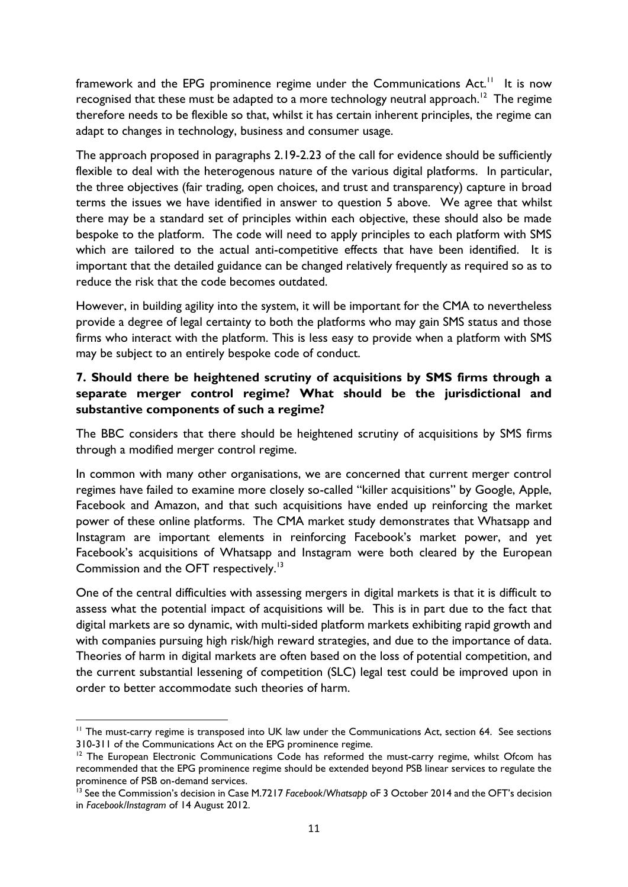framework and the EPG prominence regime under the Communications Act.<sup>11</sup> It is now recognised that these must be adapted to a more technology neutral approach.<sup>12</sup> The regime therefore needs to be flexible so that, whilst it has certain inherent principles, the regime can adapt to changes in technology, business and consumer usage.

The approach proposed in paragraphs 2.19-2.23 of the call for evidence should be sufficiently flexible to deal with the heterogenous nature of the various digital platforms. In particular, the three objectives (fair trading, open choices, and trust and transparency) capture in broad terms the issues we have identified in answer to question 5 above. We agree that whilst there may be a standard set of principles within each objective, these should also be made bespoke to the platform. The code will need to apply principles to each platform with SMS which are tailored to the actual anti-competitive effects that have been identified. It is important that the detailed guidance can be changed relatively frequently as required so as to reduce the risk that the code becomes outdated.

However, in building agility into the system, it will be important for the CMA to nevertheless provide a degree of legal certainty to both the platforms who may gain SMS status and those firms who interact with the platform. This is less easy to provide when a platform with SMS may be subject to an entirely bespoke code of conduct.

# **7. Should there be heightened scrutiny of acquisitions by SMS firms through a separate merger control regime? What should be the jurisdictional and substantive components of such a regime?**

The BBC considers that there should be heightened scrutiny of acquisitions by SMS firms through a modified merger control regime.

In common with many other organisations, we are concerned that current merger control regimes have failed to examine more closely so-called "killer acquisitions" by Google, Apple, Facebook and Amazon, and that such acquisitions have ended up reinforcing the market power of these online platforms. The CMA market study demonstrates that Whatsapp and Instagram are important elements in reinforcing Facebook's market power, and yet Facebook's acquisitions of Whatsapp and Instagram were both cleared by the European Commission and the OFT respectively.<sup>13</sup>

One of the central difficulties with assessing mergers in digital markets is that it is difficult to assess what the potential impact of acquisitions will be. This is in part due to the fact that digital markets are so dynamic, with multi-sided platform markets exhibiting rapid growth and with companies pursuing high risk/high reward strategies, and due to the importance of data. Theories of harm in digital markets are often based on the loss of potential competition, and the current substantial lessening of competition (SLC) legal test could be improved upon in order to better accommodate such theories of harm.

<sup>&</sup>lt;sup>11</sup> The must-carry regime is transposed into UK law under the Communications Act, section 64. See sections 310-311 of the Communications Act on the EPG prominence regime.

<sup>&</sup>lt;sup>12</sup> The European Electronic Communications Code has reformed the must-carry regime, whilst Ofcom has recommended that the EPG prominence regime should be extended beyond PSB linear services to regulate the prominence of PSB on-demand services.

<sup>13</sup> See the Commission's decision in Case M.7217 *Facebook/Whatsapp* oF 3 October 2014 and the OFT's decision in *Facebook/Instagram* of 14 August 2012.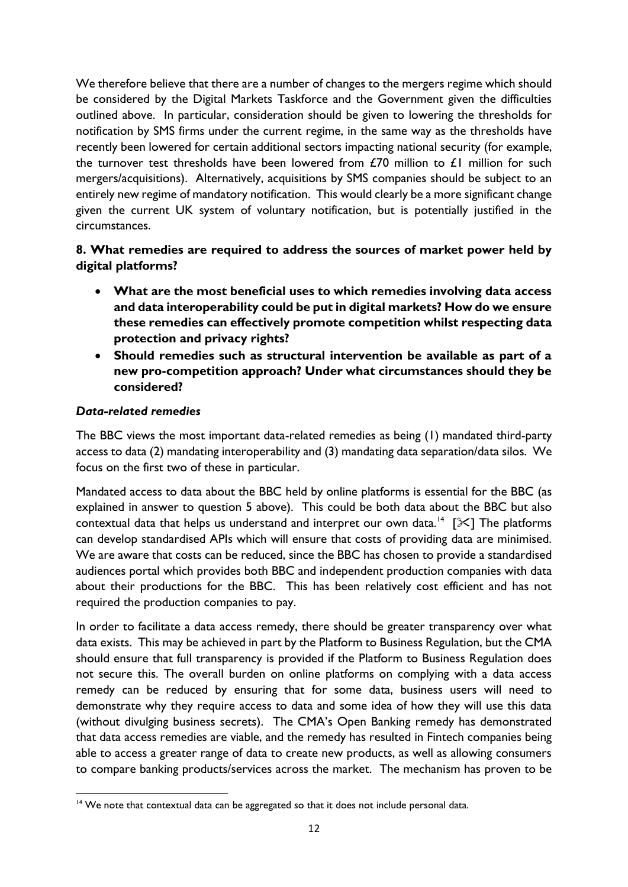We therefore believe that there are a number of changes to the mergers regime which should be considered by the Digital Markets Taskforce and the Government given the difficulties outlined above. In particular, consideration should be given to lowering the thresholds for notification by SMS firms under the current regime, in the same way as the thresholds have recently been lowered for certain additional sectors impacting national security (for example, the turnover test thresholds have been lowered from  $E70$  million to  $E1$  million for such mergers/acquisitions). Alternatively, acquisitions by SMS companies should be subject to an entirely new regime of mandatory notification. This would clearly be a more significant change given the current UK system of voluntary notification, but is potentially justified in the circumstances.

# **8. What remedies are required to address the sources of market power held by digital platforms?**

- **What are the most beneficial uses to which remedies involving data access and data interoperability could be put in digital markets? How do we ensure these remedies can effectively promote competition whilst respecting data protection and privacy rights?**
- **Should remedies such as structural intervention be available as part of a new pro-competition approach? Under what circumstances should they be considered?**

### *Data-related remedies*

The BBC views the most important data-related remedies as being (1) mandated third-party access to data (2) mandating interoperability and (3) mandating data separation/data silos. We focus on the first two of these in particular.

Mandated access to data about the BBC held by online platforms is essential for the BBC (as explained in answer to question 5 above). This could be both data about the BBC but also contextual data that helps us understand and interpret our own data.<sup>14</sup> [ $\mathbb{X}$ ] The platforms can develop standardised APIs which will ensure that costs of providing data are minimised. We are aware that costs can be reduced, since the BBC has chosen to provide a standardised audiences portal which provides both BBC and independent production companies with data about their productions for the BBC. This has been relatively cost efficient and has not required the production companies to pay.

In order to facilitate a data access remedy, there should be greater transparency over what data exists. This may be achieved in part by the Platform to Business Regulation, but the CMA should ensure that full transparency is provided if the Platform to Business Regulation does not secure this. The overall burden on online platforms on complying with a data access remedy can be reduced by ensuring that for some data, business users will need to demonstrate why they require access to data and some idea of how they will use this data (without divulging business secrets). The CMA's Open Banking remedy has demonstrated that data access remedies are viable, and the remedy has resulted in Fintech companies being able to access a greater range of data to create new products, as well as allowing consumers to compare banking products/services across the market. The mechanism has proven to be

**<sup>.</sup>** <sup>14</sup> We note that contextual data can be aggregated so that it does not include personal data.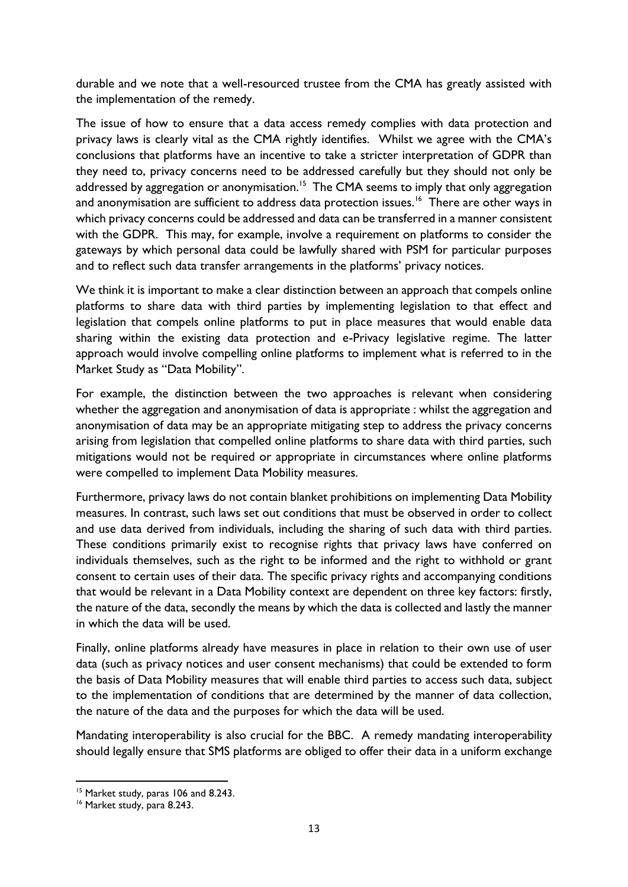durable and we note that a well-resourced trustee from the CMA has greatly assisted with the implementation of the remedy.

The issue of how to ensure that a data access remedy complies with data protection and privacy laws is clearly vital as the CMA rightly identifies. Whilst we agree with the CMA's conclusions that platforms have an incentive to take a stricter interpretation of GDPR than they need to, privacy concerns need to be addressed carefully but they should not only be addressed by aggregation or anonymisation.<sup>15</sup> The CMA seems to imply that only aggregation and anonymisation are sufficient to address data protection issues.<sup>16</sup> There are other ways in which privacy concerns could be addressed and data can be transferred in a manner consistent with the GDPR. This may, for example, involve a requirement on platforms to consider the gateways by which personal data could be lawfully shared with PSM for particular purposes and to reflect such data transfer arrangements in the platforms' privacy notices.

We think it is important to make a clear distinction between an approach that compels online platforms to share data with third parties by implementing legislation to that effect and legislation that compels online platforms to put in place measures that would enable data sharing within the existing data protection and e-Privacy legislative regime. The latter approach would involve compelling online platforms to implement what is referred to in the Market Study as "Data Mobility".

For example, the distinction between the two approaches is relevant when considering whether the aggregation and anonymisation of data is appropriate : whilst the aggregation and anonymisation of data may be an appropriate mitigating step to address the privacy concerns arising from legislation that compelled online platforms to share data with third parties, such mitigations would not be required or appropriate in circumstances where online platforms were compelled to implement Data Mobility measures.

Furthermore, privacy laws do not contain blanket prohibitions on implementing Data Mobility measures. In contrast, such laws set out conditions that must be observed in order to collect and use data derived from individuals, including the sharing of such data with third parties. These conditions primarily exist to recognise rights that privacy laws have conferred on individuals themselves, such as the right to be informed and the right to withhold or grant consent to certain uses of their data. The specific privacy rights and accompanying conditions that would be relevant in a Data Mobility context are dependent on three key factors: firstly, the nature of the data, secondly the means by which the data is collected and lastly the manner in which the data will be used.

Finally, online platforms already have measures in place in relation to their own use of user data (such as privacy notices and user consent mechanisms) that could be extended to form the basis of Data Mobility measures that will enable third parties to access such data, subject to the implementation of conditions that are determined by the manner of data collection, the nature of the data and the purposes for which the data will be used.

Mandating interoperability is also crucial for the BBC. A remedy mandating interoperability should legally ensure that SMS platforms are obliged to offer their data in a uniform exchange

<sup>&</sup>lt;sup>15</sup> Market study, paras 106 and 8.243.

<sup>&</sup>lt;sup>16</sup> Market study, para 8.243.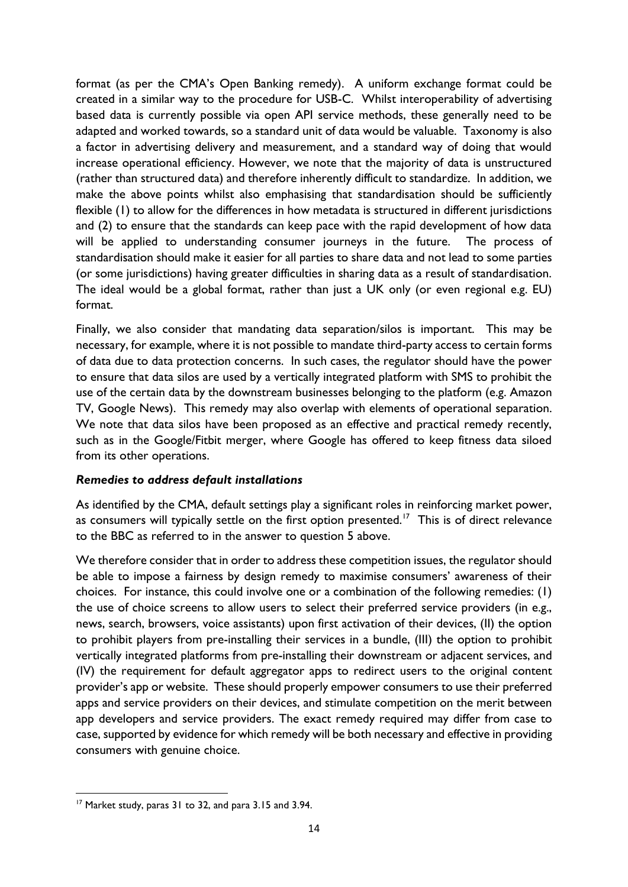format (as per the CMA's Open Banking remedy). A uniform exchange format could be created in a similar way to the procedure for USB-C. Whilst interoperability of advertising based data is currently possible via open API service methods, these generally need to be adapted and worked towards, so a standard unit of data would be valuable. Taxonomy is also a factor in advertising delivery and measurement, and a standard way of doing that would increase operational efficiency. However, we note that the majority of data is unstructured (rather than structured data) and therefore inherently difficult to standardize. In addition, we make the above points whilst also emphasising that standardisation should be sufficiently flexible (1) to allow for the differences in how metadata is structured in different jurisdictions and (2) to ensure that the standards can keep pace with the rapid development of how data will be applied to understanding consumer journeys in the future. The process of standardisation should make it easier for all parties to share data and not lead to some parties (or some jurisdictions) having greater difficulties in sharing data as a result of standardisation. The ideal would be a global format, rather than just a UK only (or even regional e.g. EU) format.

Finally, we also consider that mandating data separation/silos is important. This may be necessary, for example, where it is not possible to mandate third-party access to certain forms of data due to data protection concerns. In such cases, the regulator should have the power to ensure that data silos are used by a vertically integrated platform with SMS to prohibit the use of the certain data by the downstream businesses belonging to the platform (e.g. Amazon TV, Google News). This remedy may also overlap with elements of operational separation. We note that data silos have been proposed as an effective and practical remedy recently, such as in the Google/Fitbit merger, where Google has offered to keep fitness data siloed from its other operations.

### *Remedies to address default installations*

As identified by the CMA, default settings play a significant roles in reinforcing market power, as consumers will typically settle on the first option presented.<sup>17</sup> This is of direct relevance to the BBC as referred to in the answer to question 5 above.

We therefore consider that in order to address these competition issues, the regulator should be able to impose a fairness by design remedy to maximise consumers' awareness of their choices. For instance, this could involve one or a combination of the following remedies: (1) the use of choice screens to allow users to select their preferred service providers (in e.g., news, search, browsers, voice assistants) upon first activation of their devices, (II) the option to prohibit players from pre-installing their services in a bundle, (III) the option to prohibit vertically integrated platforms from pre-installing their downstream or adjacent services, and (IV) the requirement for default aggregator apps to redirect users to the original content provider's app or website. These should properly empower consumers to use their preferred apps and service providers on their devices, and stimulate competition on the merit between app developers and service providers. The exact remedy required may differ from case to case, supported by evidence for which remedy will be both necessary and effective in providing consumers with genuine choice.

**<sup>.</sup>** <sup>17</sup> Market study, paras 31 to 32, and para 3.15 and 3.94.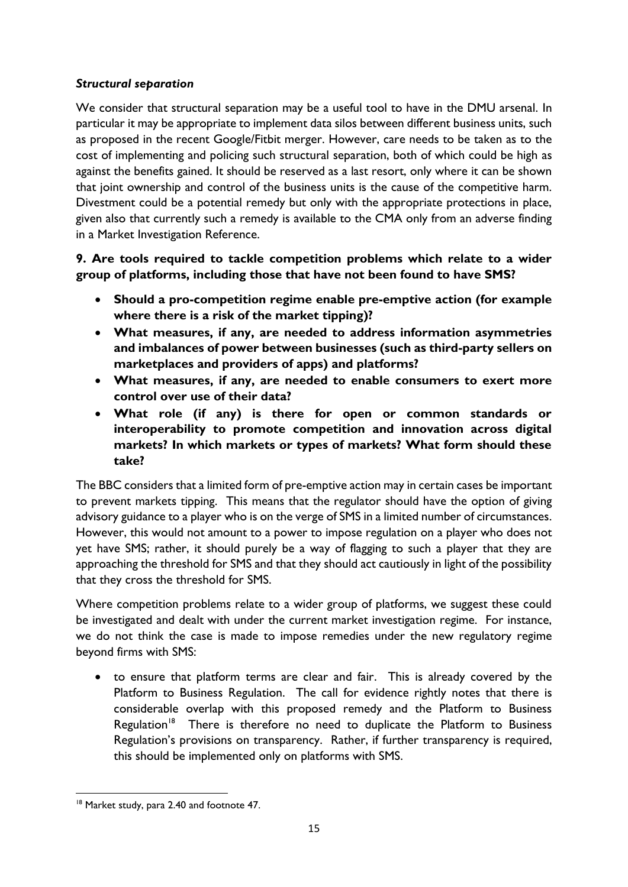## *Structural separation*

We consider that structural separation may be a useful tool to have in the DMU arsenal. In particular it may be appropriate to implement data silos between different business units, such as proposed in the recent Google/Fitbit merger. However, care needs to be taken as to the cost of implementing and policing such structural separation, both of which could be high as against the benefits gained. It should be reserved as a last resort, only where it can be shown that joint ownership and control of the business units is the cause of the competitive harm. Divestment could be a potential remedy but only with the appropriate protections in place, given also that currently such a remedy is available to the CMA only from an adverse finding in a Market Investigation Reference.

# **9. Are tools required to tackle competition problems which relate to a wider group of platforms, including those that have not been found to have SMS?**

- **Should a pro-competition regime enable pre-emptive action (for example where there is a risk of the market tipping)?**
- **What measures, if any, are needed to address information asymmetries and imbalances of power between businesses (such as third-party sellers on marketplaces and providers of apps) and platforms?**
- **What measures, if any, are needed to enable consumers to exert more control over use of their data?**
- **What role (if any) is there for open or common standards or interoperability to promote competition and innovation across digital markets? In which markets or types of markets? What form should these take?**

The BBC considers that a limited form of pre-emptive action may in certain cases be important to prevent markets tipping. This means that the regulator should have the option of giving advisory guidance to a player who is on the verge of SMS in a limited number of circumstances. However, this would not amount to a power to impose regulation on a player who does not yet have SMS; rather, it should purely be a way of flagging to such a player that they are approaching the threshold for SMS and that they should act cautiously in light of the possibility that they cross the threshold for SMS.

Where competition problems relate to a wider group of platforms, we suggest these could be investigated and dealt with under the current market investigation regime. For instance, we do not think the case is made to impose remedies under the new regulatory regime beyond firms with SMS:

• to ensure that platform terms are clear and fair. This is already covered by the Platform to Business Regulation. The call for evidence rightly notes that there is considerable overlap with this proposed remedy and the Platform to Business Regulation<sup>18</sup> There is therefore no need to duplicate the Platform to Business Regulation's provisions on transparency. Rather, if further transparency is required, this should be implemented only on platforms with SMS.

**<sup>.</sup>** <sup>18</sup> Market study, para 2.40 and footnote 47.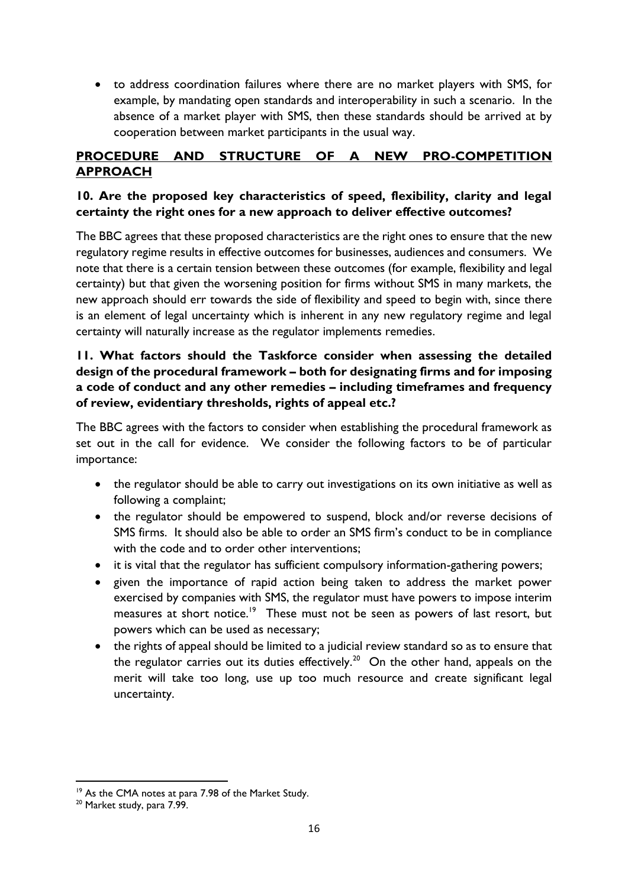• to address coordination failures where there are no market players with SMS, for example, by mandating open standards and interoperability in such a scenario. In the absence of a market player with SMS, then these standards should be arrived at by cooperation between market participants in the usual way.

# **PROCEDURE AND STRUCTURE OF A NEW PRO-COMPETITION APPROACH**

## **10. Are the proposed key characteristics of speed, flexibility, clarity and legal certainty the right ones for a new approach to deliver effective outcomes?**

The BBC agrees that these proposed characteristics are the right ones to ensure that the new regulatory regime results in effective outcomes for businesses, audiences and consumers. We note that there is a certain tension between these outcomes (for example, flexibility and legal certainty) but that given the worsening position for firms without SMS in many markets, the new approach should err towards the side of flexibility and speed to begin with, since there is an element of legal uncertainty which is inherent in any new regulatory regime and legal certainty will naturally increase as the regulator implements remedies.

# **11. What factors should the Taskforce consider when assessing the detailed design of the procedural framework – both for designating firms and for imposing a code of conduct and any other remedies – including timeframes and frequency of review, evidentiary thresholds, rights of appeal etc.?**

The BBC agrees with the factors to consider when establishing the procedural framework as set out in the call for evidence. We consider the following factors to be of particular importance:

- the regulator should be able to carry out investigations on its own initiative as well as following a complaint;
- the regulator should be empowered to suspend, block and/or reverse decisions of SMS firms. It should also be able to order an SMS firm's conduct to be in compliance with the code and to order other interventions;
- it is vital that the regulator has sufficient compulsory information-gathering powers;
- given the importance of rapid action being taken to address the market power exercised by companies with SMS, the regulator must have powers to impose interim measures at short notice.<sup>19</sup> These must not be seen as powers of last resort, but powers which can be used as necessary;
- the rights of appeal should be limited to a judicial review standard so as to ensure that the regulator carries out its duties effectively.<sup>20</sup> On the other hand, appeals on the merit will take too long, use up too much resource and create significant legal uncertainty.

<sup>&</sup>lt;sup>19</sup> As the CMA notes at para 7.98 of the Market Study.

<sup>&</sup>lt;sup>20</sup> Market study, para 7.99.